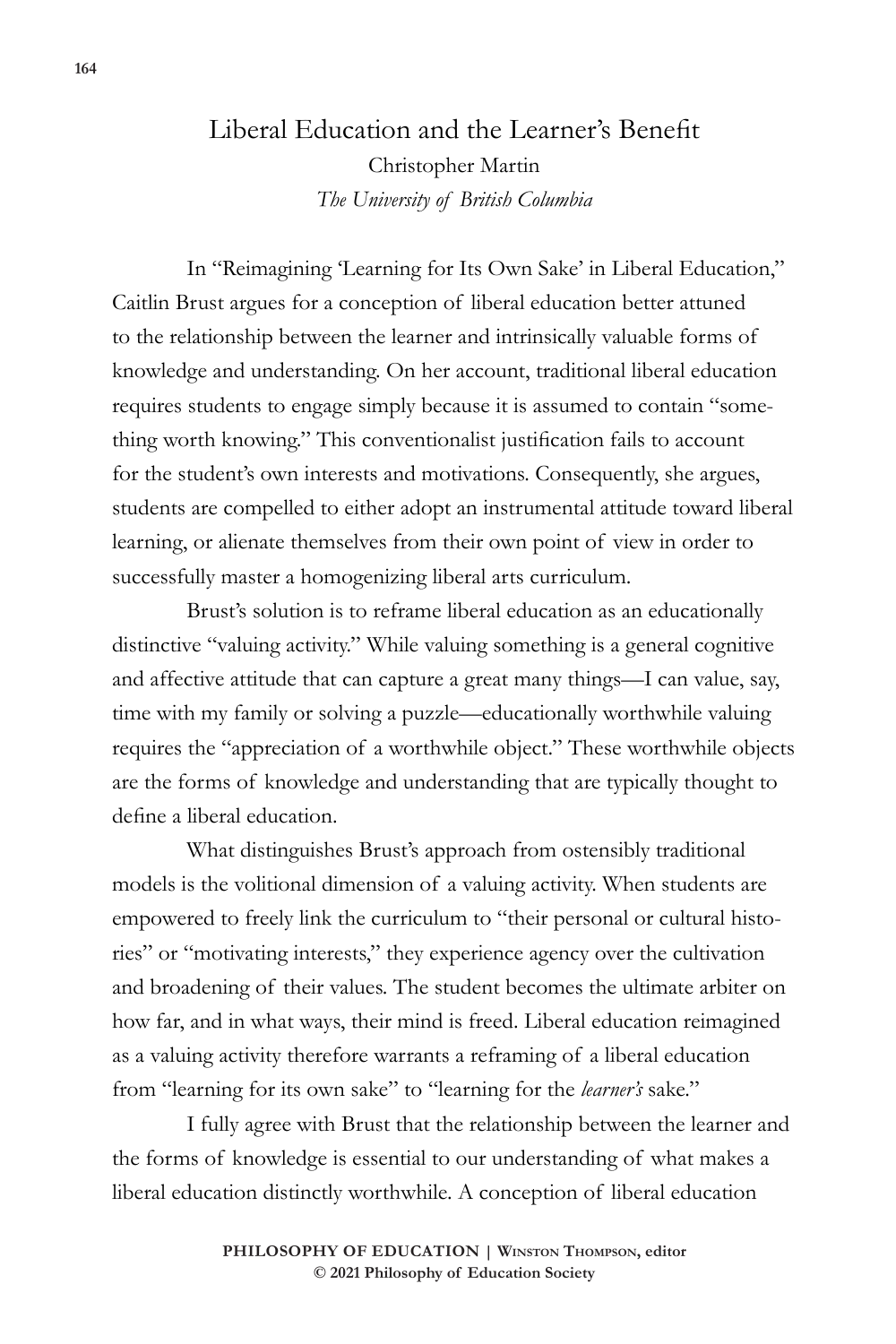## Liberal Education and the Learner's Benefit Christopher Martin *The University of British Columbia*

In "Reimagining 'Learning for Its Own Sake' in Liberal Education," Caitlin Brust argues for a conception of liberal education better attuned to the relationship between the learner and intrinsically valuable forms of knowledge and understanding. On her account, traditional liberal education requires students to engage simply because it is assumed to contain "something worth knowing." This conventionalist justification fails to account for the student's own interests and motivations. Consequently, she argues, students are compelled to either adopt an instrumental attitude toward liberal learning, or alienate themselves from their own point of view in order to successfully master a homogenizing liberal arts curriculum.

Brust's solution is to reframe liberal education as an educationally distinctive "valuing activity." While valuing something is a general cognitive and affective attitude that can capture a great many things—I can value, say, time with my family or solving a puzzle—educationally worthwhile valuing requires the "appreciation of a worthwhile object." These worthwhile objects are the forms of knowledge and understanding that are typically thought to define a liberal education.

What distinguishes Brust's approach from ostensibly traditional models is the volitional dimension of a valuing activity. When students are empowered to freely link the curriculum to "their personal or cultural histories" or "motivating interests," they experience agency over the cultivation and broadening of their values. The student becomes the ultimate arbiter on how far, and in what ways, their mind is freed. Liberal education reimagined as a valuing activity therefore warrants a reframing of a liberal education from "learning for its own sake" to "learning for the *learner's* sake."

I fully agree with Brust that the relationship between the learner and the forms of knowledge is essential to our understanding of what makes a liberal education distinctly worthwhile. A conception of liberal education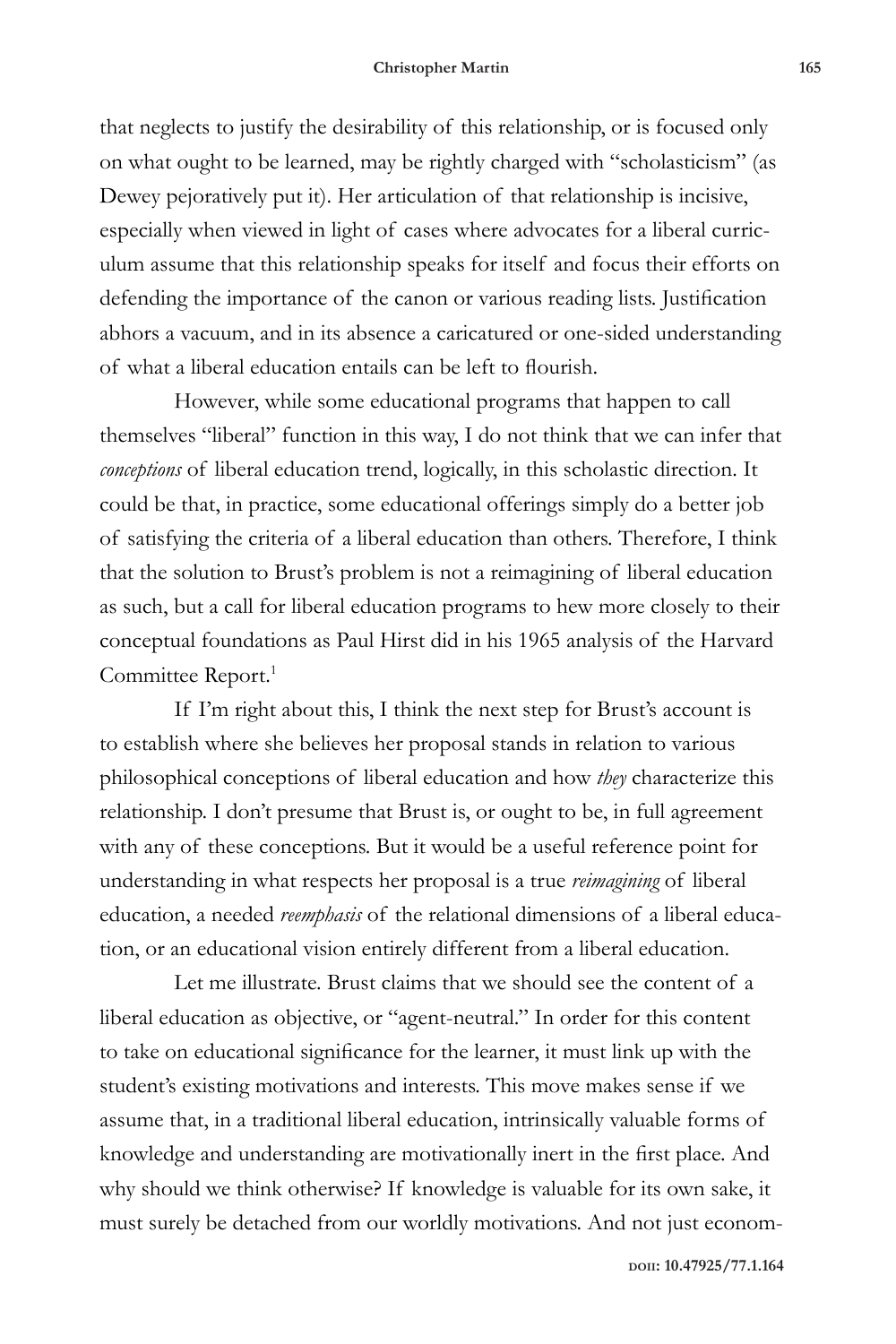that neglects to justify the desirability of this relationship, or is focused only on what ought to be learned, may be rightly charged with "scholasticism" (as Dewey pejoratively put it). Her articulation of that relationship is incisive, especially when viewed in light of cases where advocates for a liberal curriculum assume that this relationship speaks for itself and focus their efforts on defending the importance of the canon or various reading lists. Justification abhors a vacuum, and in its absence a caricatured or one-sided understanding of what a liberal education entails can be left to flourish.

However, while some educational programs that happen to call themselves "liberal" function in this way, I do not think that we can infer that *conceptions* of liberal education trend, logically, in this scholastic direction. It could be that, in practice, some educational offerings simply do a better job of satisfying the criteria of a liberal education than others. Therefore, I think that the solution to Brust's problem is not a reimagining of liberal education as such, but a call for liberal education programs to hew more closely to their conceptual foundations as Paul Hirst did in his 1965 analysis of the Harvard Committee Report.<sup>1</sup>

If I'm right about this, I think the next step for Brust's account is to establish where she believes her proposal stands in relation to various philosophical conceptions of liberal education and how *they* characterize this relationship. I don't presume that Brust is, or ought to be, in full agreement with any of these conceptions. But it would be a useful reference point for understanding in what respects her proposal is a true *reimagining* of liberal education, a needed *reemphasis* of the relational dimensions of a liberal education, or an educational vision entirely different from a liberal education.

Let me illustrate. Brust claims that we should see the content of a liberal education as objective, or "agent-neutral." In order for this content to take on educational significance for the learner, it must link up with the student's existing motivations and interests. This move makes sense if we assume that, in a traditional liberal education, intrinsically valuable forms of knowledge and understanding are motivationally inert in the first place. And why should we think otherwise? If knowledge is valuable for its own sake, it must surely be detached from our worldly motivations. And not just econom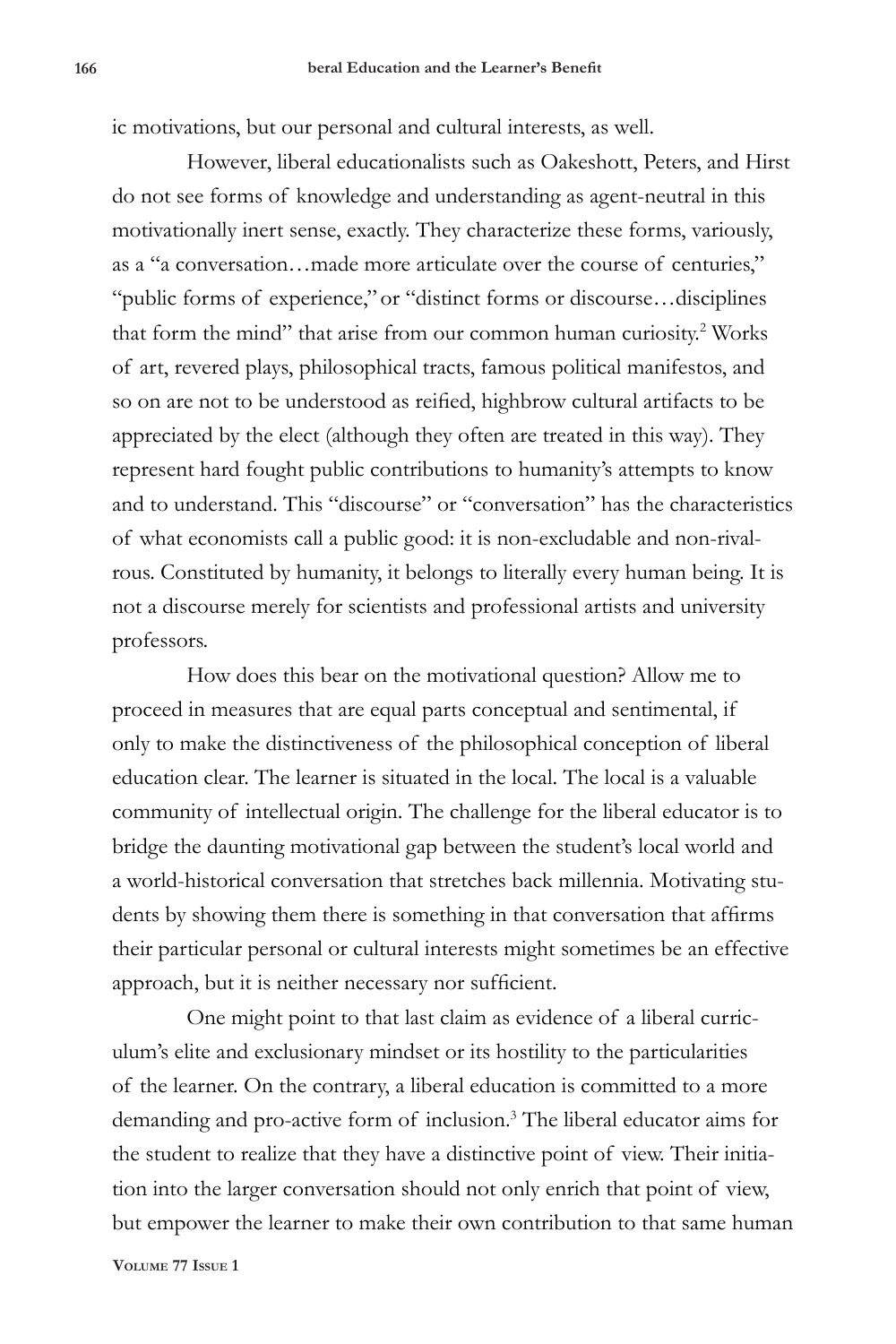ic motivations, but our personal and cultural interests, as well.

However, liberal educationalists such as Oakeshott, Peters, and Hirst do not see forms of knowledge and understanding as agent-neutral in this motivationally inert sense, exactly. They characterize these forms, variously, as a "a conversation…made more articulate over the course of centuries," "public forms of experience," or "distinct forms or discourse…disciplines that form the mind" that arise from our common human curiosity.<sup>2</sup> Works of art, revered plays, philosophical tracts, famous political manifestos, and so on are not to be understood as reified, highbrow cultural artifacts to be appreciated by the elect (although they often are treated in this way). They represent hard fought public contributions to humanity's attempts to know and to understand. This "discourse" or "conversation" has the characteristics of what economists call a public good: it is non-excludable and non-rivalrous. Constituted by humanity, it belongs to literally every human being. It is not a discourse merely for scientists and professional artists and university professors.

How does this bear on the motivational question? Allow me to proceed in measures that are equal parts conceptual and sentimental, if only to make the distinctiveness of the philosophical conception of liberal education clear. The learner is situated in the local. The local is a valuable community of intellectual origin. The challenge for the liberal educator is to bridge the daunting motivational gap between the student's local world and a world-historical conversation that stretches back millennia. Motivating students by showing them there is something in that conversation that affirms their particular personal or cultural interests might sometimes be an effective approach, but it is neither necessary nor sufficient.

One might point to that last claim as evidence of a liberal curriculum's elite and exclusionary mindset or its hostility to the particularities of the learner. On the contrary, a liberal education is committed to a more demanding and pro-active form of inclusion.<sup>3</sup> The liberal educator aims for the student to realize that they have a distinctive point of view. Their initiation into the larger conversation should not only enrich that point of view, but empower the learner to make their own contribution to that same human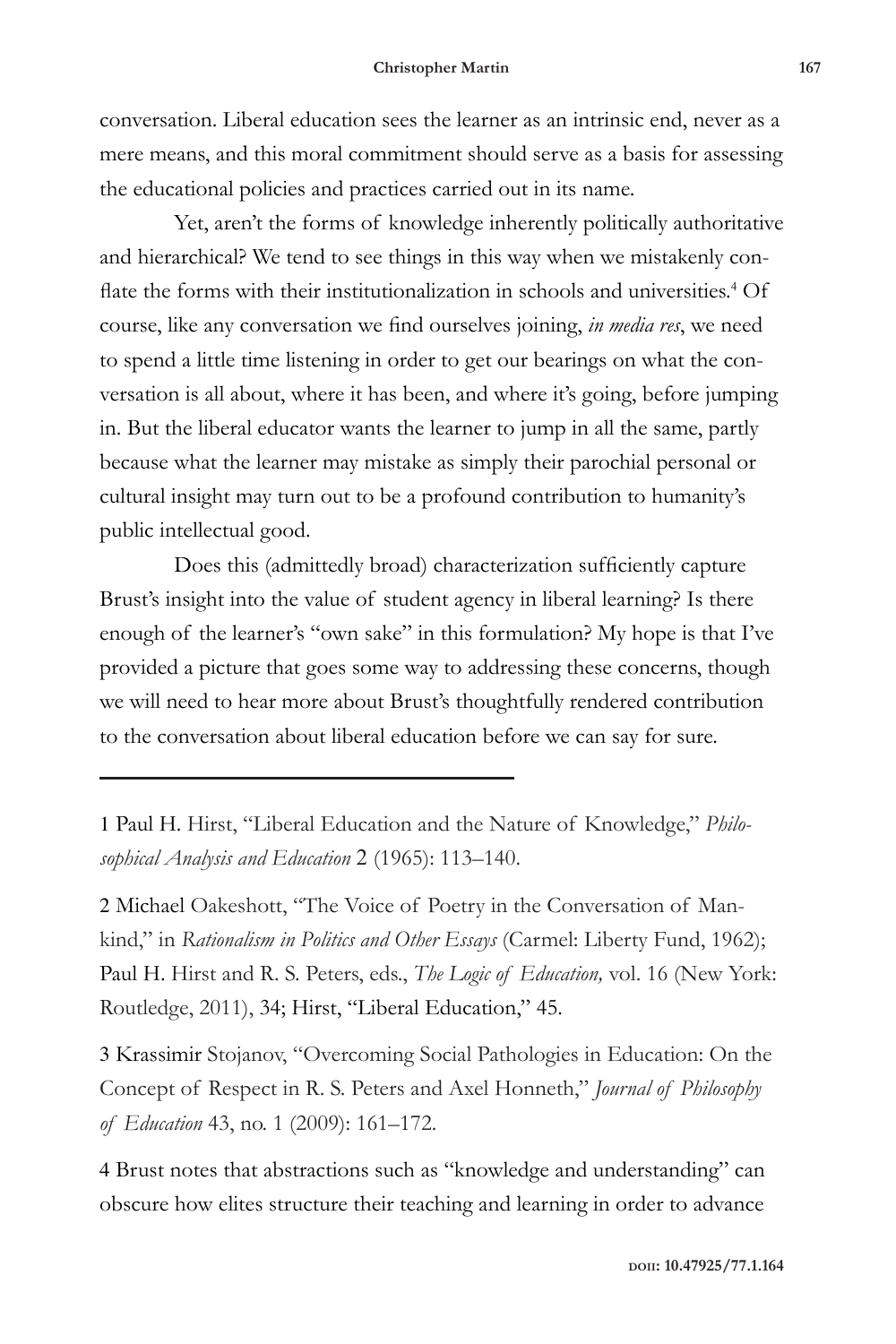conversation. Liberal education sees the learner as an intrinsic end, never as a mere means, and this moral commitment should serve as a basis for assessing the educational policies and practices carried out in its name.

Yet, aren't the forms of knowledge inherently politically authoritative and hierarchical? We tend to see things in this way when we mistakenly conflate the forms with their institutionalization in schools and universities.<sup>4</sup> Of course, like any conversation we find ourselves joining, *in media res*, we need to spend a little time listening in order to get our bearings on what the conversation is all about, where it has been, and where it's going, before jumping in. But the liberal educator wants the learner to jump in all the same, partly because what the learner may mistake as simply their parochial personal or cultural insight may turn out to be a profound contribution to humanity's public intellectual good.

Does this (admittedly broad) characterization sufficiently capture Brust's insight into the value of student agency in liberal learning? Is there enough of the learner's "own sake" in this formulation? My hope is that I've provided a picture that goes some way to addressing these concerns, though we will need to hear more about Brust's thoughtfully rendered contribution to the conversation about liberal education before we can say for sure.

1 Paul H. Hirst, "Liberal Education and the Nature of Knowledge," *Philosophical Analysis and Education* 2 (1965): 113–140.

2 Michael Oakeshott, "The Voice of Poetry in the Conversation of Mankind," in *Rationalism in Politics and Other Essays* (Carmel: Liberty Fund, 1962); Paul H. Hirst and R. S. Peters, eds., *The Logic of Education,* vol. 16 (New York: Routledge, 2011), 34; Hirst, "Liberal Education," 45.

3 Krassimir Stojanov, "Overcoming Social Pathologies in Education: On the Concept of Respect in R. S. Peters and Axel Honneth," *Journal of Philosophy of Education* 43, no. 1 (2009): 161–172.

4 Brust notes that abstractions such as "knowledge and understanding" can obscure how elites structure their teaching and learning in order to advance